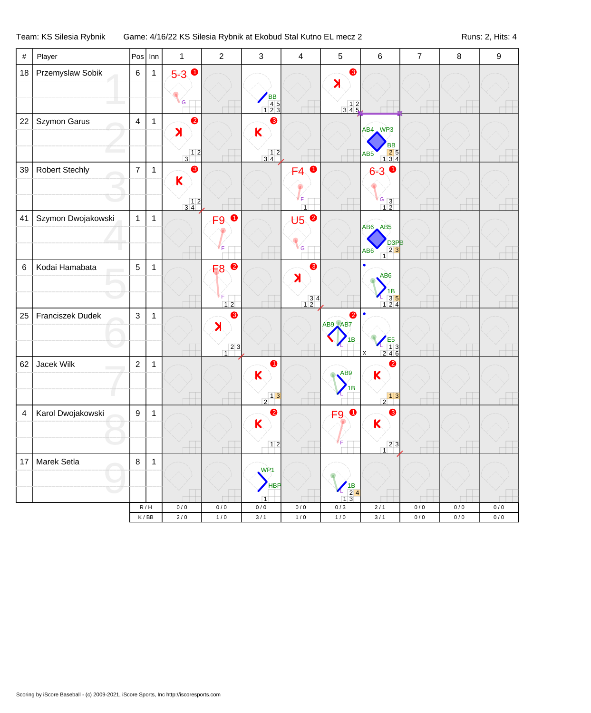## Team: KS Silesia Rybnik Game: 4/16/22 KS Silesia Rybnik at Ekobud Stal Kutno EL mecz 2 Runs: 2, Hits: 4

| $\#$                    | Player                | Pos              | Inn          | $\mathbf{1}$                                                                 | $\overline{2}$                                     | $\mathbf{3}$                                                       | $\overline{\mathbf{4}}$                                                     | 5                                                                                   | 6                                                                                                               | $\overline{7}$     | $\bf 8$          | $\boldsymbol{9}$ |
|-------------------------|-----------------------|------------------|--------------|------------------------------------------------------------------------------|----------------------------------------------------|--------------------------------------------------------------------|-----------------------------------------------------------------------------|-------------------------------------------------------------------------------------|-----------------------------------------------------------------------------------------------------------------|--------------------|------------------|------------------|
| 18                      | Przemyslaw Sobik      | $\,6\,$          | $\mathbf{1}$ | $5 - 3$ 0<br>${\mathsf G}$                                                   |                                                    | BB<br>45<br>123                                                    |                                                                             | 8<br>$\blacktriangleright$<br>$\begin{array}{c c} & 1 & 2 \\ 3 & 4 & 5 \end{array}$ |                                                                                                                 |                    |                  |                  |
| 22                      | Szymon Garus          | $\overline{4}$   | $\mathbf{1}$ | $\bullet$<br>$\blacktriangleright$                                           |                                                    | ❸<br>K                                                             |                                                                             |                                                                                     | AB4 WP3<br>BB                                                                                                   |                    |                  |                  |
| 39                      | <b>Robert Stechly</b> | $\overline{7}$   | $\mathbf{1}$ | $\begin{array}{c c} & 1 & 2 \\ \hline 3 & & \end{array}$<br>❸<br>$\mathsf K$ |                                                    | $\begin{array}{c} 12 \\ 34 \end{array}$                            | $\bullet$<br>F4<br>ſϝ.                                                      |                                                                                     | $\begin{array}{ c c }\n\hline\n2 & 5 \\ 1 & 3 & 4\n\end{array}$<br>AB <sub>5</sub><br>$6 - 3$<br>$\frac{G}{12}$ |                    |                  |                  |
| 41                      | Szymon Dwojakowski    | $\mathbf{1}$     | $\mathbf{1}$ | $\begin{array}{c c} & 1 & 2 \\ 3 & 4 & \end{array}$                          | $\bullet$<br>F9                                    |                                                                    | $\overline{1}$<br>U5 <sup>0</sup><br>${\mathsf G}$                          |                                                                                     | $AB6$ $AB5$<br>D <sub>3PB</sub><br>$23$<br>AB <sub>6</sub><br>$\overline{1}$                                    |                    |                  |                  |
| $\,6$                   | Kodai Hamabata        | $\overline{5}$   | $\mathbf 1$  |                                                                              | $\bullet$<br>F <sub>8</sub><br>F<br>$12$           |                                                                    | 6<br>$\blacktriangleright$<br>$\begin{array}{c} 3 & 4 \\ 1 & 2 \end{array}$ |                                                                                     | $\bullet$<br>AB <sub>6</sub><br>$\begin{array}{r} \n 1B \\  35 \\  124\n \end{array}$                           |                    |                  |                  |
| 25                      | Franciszek Dudek      | $\mathbf{3}$     | $\mathbf{1}$ |                                                                              | ❸<br>$\blacktriangleright$<br>23<br>$\overline{1}$ |                                                                    |                                                                             | $\bullet$<br>AB9 AB7<br>1B                                                          | $\frac{25}{246}$<br>x                                                                                           |                    |                  |                  |
| 62                      | Jacek Wilk            | $\overline{2}$   | 1            |                                                                              |                                                    | 0<br>K<br>$\begin{array}{c c} & 1 & 3 \\ \hline 2 & & \end{array}$ |                                                                             | AB9<br>1Β                                                                           | 0<br>$\overline{\mathsf{K}}$<br>$\begin{array}{c c} & 1 & 3 \\ \hline 2 & & \end{array}$                        |                    |                  |                  |
| $\overline{\mathbf{4}}$ | Karol Dwojakowski     | $\boldsymbol{9}$ | $\mathbf{1}$ |                                                                              |                                                    | $\bullet$<br>K<br>12                                               |                                                                             | $\bullet$<br>F <sub>9</sub>                                                         | 8<br>$\mathsf K$<br>23                                                                                          |                    |                  |                  |
| 17                      | Marek Setla           | $\bf 8$          | 1            |                                                                              |                                                    | WP <sub>1</sub><br>HBP                                             |                                                                             | $\frac{7}{2}$ 4                                                                     | $\overline{1}$                                                                                                  |                    |                  |                  |
|                         |                       |                  | R/H<br>K/BB  | 0/0<br>$2\,/\,0$                                                             | $0\,/\,0$<br>$1/0$                                 | $\overline{1}$<br>$0\,/\,0$<br>3/1                                 | $0\,/\,0$<br>1/0                                                            | 13<br>0/3<br>$1/0$                                                                  | $2/1$<br>$3/1$                                                                                                  | $0/0$<br>$0\,/\,0$ | 0/0<br>$0\,/\,0$ | 0/0<br>$0/0$     |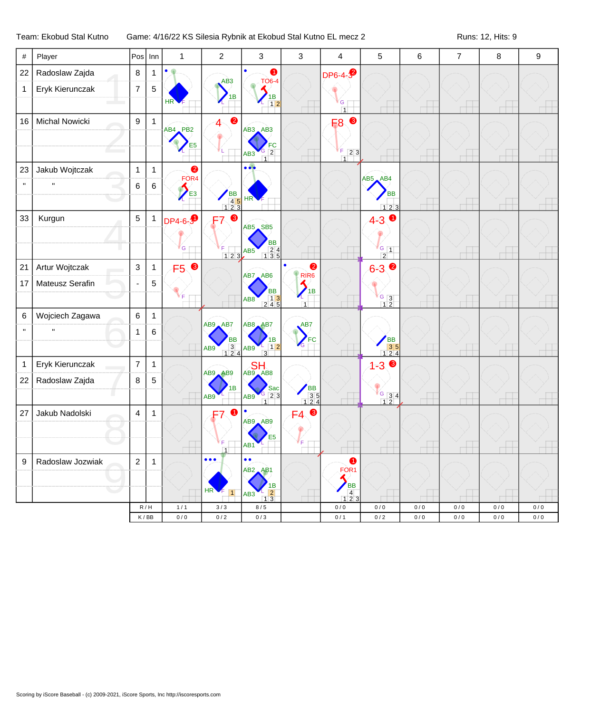## Team: Ekobud Stal Kutno Game: 4/16/22 KS Silesia Rybnik at Ekobud Stal Kutno EL mecz 2 Runs: 12, Hits: 9

| $\#$         | Player           | Pos            | Inn          | $\mathbf{1}$                  | $\overline{c}$                                            | 3                                                                 | 3                                                        | $\overline{4}$                | 5                                                                               | 6                | $\overline{7}$ | $\bf 8$    | 9              |
|--------------|------------------|----------------|--------------|-------------------------------|-----------------------------------------------------------|-------------------------------------------------------------------|----------------------------------------------------------|-------------------------------|---------------------------------------------------------------------------------|------------------|----------------|------------|----------------|
| 22           | Radoslaw Zajda   | $\bf 8$        | $\mathbf{1}$ | ٠                             | AB <sub>3</sub>                                           | $\bullet$<br><b>TO6-4</b>                                         |                                                          | <b>DP6-4-3</b>                |                                                                                 |                  |                |            |                |
| $\mathbf{1}$ | Eryk Kierunczak  | $\overline{7}$ | 5            |                               | 1В                                                        | 1B                                                                |                                                          |                               |                                                                                 |                  |                |            |                |
|              |                  |                |              | HR                            |                                                           | 12                                                                |                                                          | G<br>$\overline{1}$           |                                                                                 |                  |                |            |                |
| 16           | Michal Nowicki   | 9              | $\mathbf{1}$ | AB4 PB2                       | 0<br>4                                                    | $AB3$ $AB3$                                                       |                                                          | ❸<br>F <sub>8</sub>           |                                                                                 |                  |                |            |                |
|              |                  |                |              | E <sub>5</sub>                |                                                           |                                                                   |                                                          |                               |                                                                                 |                  |                |            |                |
|              |                  |                |              |                               |                                                           | $\overline{2}$<br>AB <sub>3</sub>                                 |                                                          | ſF.<br>23<br>$\overline{1}$   |                                                                                 |                  |                |            |                |
| 23           | Jakub Wojtczak   | $\mathbf{1}$   | $\mathbf{1}$ | $\bullet$<br>FOR <sub>4</sub> |                                                           | $\bullet\bullet\bullet$                                           |                                                          |                               | $AB5$ $AB4$                                                                     |                  |                |            |                |
| $\mathbf{u}$ |                  | 6              | $\,6\,$      | E <sub>3</sub>                |                                                           |                                                                   |                                                          |                               | <b>BB</b>                                                                       |                  |                |            |                |
|              |                  |                |              |                               | BB<br>45<br>123                                           | H <sub>R</sub>                                                    |                                                          |                               | 123                                                                             |                  |                |            |                |
| 33           | Kurgun           | 5              | $\mathbf{1}$ | <b>DP4-6-9</b>                | ❸<br>F7                                                   | AB5 SB5                                                           |                                                          |                               | $4-3$ 0                                                                         |                  |                |            |                |
|              |                  |                |              |                               |                                                           | ВB                                                                |                                                          |                               |                                                                                 |                  |                |            |                |
|              |                  |                |              | G                             | 123                                                       | $\begin{array}{r} 24 \\ 135 \end{array}$<br>AB <sub>5</sub>       |                                                          |                               | $\frac{1}{6}$ 1<br>$\overline{2}$                                               |                  |                |            |                |
| 21           | Artur Wojtczak   | $\mathbf{3}$   | $\mathbf{1}$ | F5 8                          |                                                           | AB7 AB6                                                           | $\bullet$<br>$\bullet$<br>RIR <sub>6</sub>               |                               | $6 - 39$                                                                        |                  |                |            |                |
| 17           | Mateusz Serafin  | $\blacksquare$ | 5            |                               |                                                           | <b>BB</b>                                                         | 1B                                                       |                               |                                                                                 |                  |                |            |                |
|              |                  |                |              |                               |                                                           | $\begin{array}{ c c c }\n\hline\n& 13 \\ 245\n\end{array}$<br>AB8 | $\overline{1}$                                           |                               | $\frac{6}{1}$ 3                                                                 |                  |                |            |                |
| $\,6$        | Wojciech Zagawa  | 6              | $\mathbf{1}$ |                               | AB9 AB7                                                   | AB8 AB7                                                           | AB7                                                      |                               |                                                                                 |                  |                |            |                |
| $\mathbf{H}$ | $\mathbf{u}$     | 1              | 6            |                               | BB                                                        | 1B                                                                | FC                                                       |                               |                                                                                 |                  |                |            |                |
|              |                  |                |              |                               | $\begin{array}{ c c }\n\hline\n3 & 4\n\end{array}$<br>AB9 | 12<br>AB9<br>$\overline{3}$                                       | $\mathcal{L}_{\text{G}}$                                 |                               | BB<br>35<br>124                                                                 |                  |                |            |                |
| $\mathbf{1}$ | Eryk Kierunczak  | $\overline{7}$ | $\mathbf{1}$ |                               | AB9 AB9                                                   | <b>SH</b><br>AB9<br>AB8                                           |                                                          |                               | $1 - 3$                                                                         |                  |                |            |                |
| 22           | Radoslaw Zajda   | 8              | 5            |                               | 1B                                                        | Sac                                                               |                                                          |                               |                                                                                 |                  |                |            |                |
|              |                  |                |              |                               | AB <sub>9</sub>                                           | $G$ 23<br>AB9<br>$\overline{1}$                                   | $\begin{array}{r} \n\text{BB} \\ 35 \\ 124\n\end{array}$ |                               | $\begin{array}{ c c }\n \hline\n 6 & 3 & 4 \\  \hline\n 1 & 2 & \n \end{array}$ |                  |                |            |                |
| 27           | Jakub Nadolski   | $\overline{4}$ | $\mathbf{1}$ |                               | 0<br>F7                                                   | $\bullet$<br>AB9 AB9                                              | $\bullet$<br>FA                                          |                               |                                                                                 |                  |                |            |                |
|              |                  |                |              |                               |                                                           | E5                                                                |                                                          |                               |                                                                                 |                  |                |            |                |
|              |                  |                |              |                               | $\overline{1}$                                            | AB1                                                               |                                                          |                               |                                                                                 |                  |                |            |                |
| $9\,$        | Radoslaw Jozwiak | $\overline{2}$ | $\mathbf{1}$ |                               | $\bullet\bullet\bullet$                                   | $\bullet$<br>$\bullet$<br>$AB2$ $AB1$                             |                                                          | $\bullet$<br>FOR <sub>1</sub> |                                                                                 |                  |                |            |                |
|              |                  |                |              |                               |                                                           | 1В                                                                |                                                          | <b>BB</b>                     |                                                                                 |                  |                |            |                |
|              |                  |                |              |                               | HR <sup>'</sup><br>$\vert$ 1                              | $\vert$ 2<br>AB <sub>3</sub><br>13                                |                                                          | $\overline{4}$<br>123         |                                                                                 |                  |                |            |                |
|              |                  | R/H<br>K/BB    |              | $1/1$<br>$0\,/\,0$            | $3/3$<br>$0/2$                                            | 8/5<br>0/3                                                        |                                                          | 0/0<br>0/1                    | $0/0$<br>$0\,/\,2$                                                              | 0/0<br>$0\,/\,0$ | 0/0<br>0/0     | 0/0<br>0/0 | $0/0$<br>$0/0$ |
|              |                  |                |              |                               |                                                           |                                                                   |                                                          |                               |                                                                                 |                  |                |            |                |